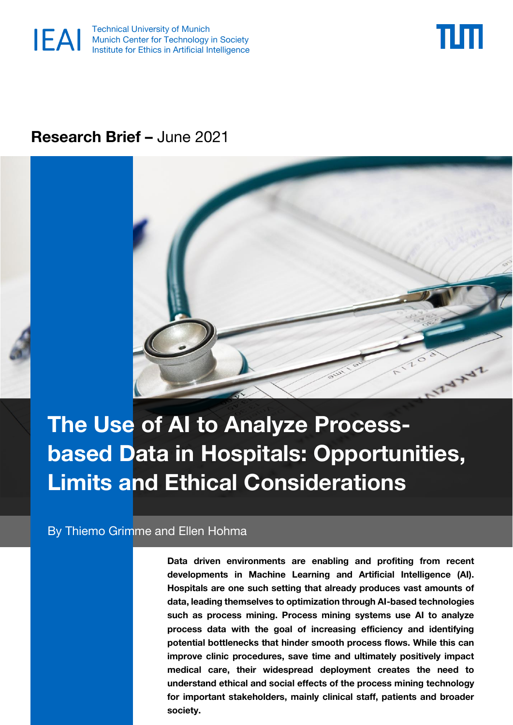



# **Research Brief –** June 2021



# **The Use of AI to Analyze Processbased Data in Hospitals: Opportunities, Limits and Ethical Considerations**

By Thiemo Grimme and Ellen Hohma

**Data driven environments are enabling and profiting from recent developments in Machine Learning and Artificial Intelligence (AI). Hospitals are one such setting that already produces vast amounts of data, leading themselves to optimization through AI-based technologies such as process mining. Process mining systems use AI to analyze process data with the goal of increasing efficiency and identifying potential bottlenecks that hinder smooth process flows. While this can improve clinic procedures, save time and ultimately positively impact medical care, their widespread deployment creates the need to understand ethical and social effects of the process mining technology for important stakeholders, mainly clinical staff, patients and broader society.**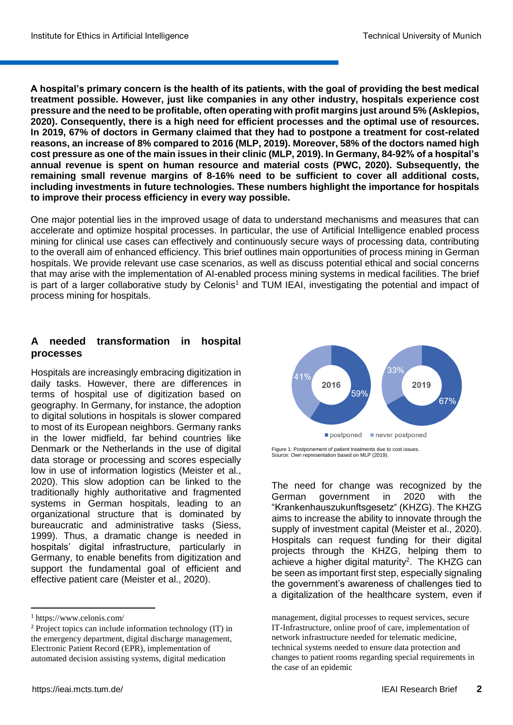**A hospital's primary concern is the health of its patients, with the goal of providing the best medical treatment possible. However, just like companies in any other industry, hospitals experience cost pressure and the need to be profitable, often operating with profit margins just around 5% (Asklepios, 2020). Consequently, there is a high need for efficient processes and the optimal use of resources. In 2019, 67% of doctors in Germany claimed that they had to postpone a treatment for cost-related reasons, an increase of 8% compared to 2016 (MLP, 2019). Moreover, 58% of the doctors named high cost pressure as one of the main issues in their clinic (MLP, 2019). In Germany, 84-92% of a hospital's annual revenue is spent on human resource and material costs (PWC, 2020). Subsequently, the remaining small revenue margins of 8-16% need to be sufficient to cover all additional costs, including investments in future technologies. These numbers highlight the importance for hospitals to improve their process efficiency in every way possible.** 

One major potential lies in the improved usage of data to understand mechanisms and measures that can accelerate and optimize hospital processes. In particular, the use of Artificial Intelligence enabled process mining for clinical use cases can effectively and continuously secure ways of processing data, contributing to the overall aim of enhanced efficiency. This brief outlines main opportunities of process mining in German hospitals. We provide relevant use case scenarios, as well as discuss potential ethical and social concerns that may arise with the implementation of AI-enabled process mining systems in medical facilities. The brief is part of a larger collaborative study by Celonis<sup>1</sup> and TUM IEAI, investigating the potential and impact of process mining for hospitals.

# **A needed transformation in hospital processes**

Hospitals are increasingly embracing digitization in daily tasks. However, there are differences in terms of hospital use of digitization based on geography. In Germany, for instance, the adoption to digital solutions in hospitals is slower compared to most of its European neighbors. Germany ranks in the lower midfield, far behind countries like Denmark or the Netherlands in the use of digital data storage or processing and scores especially low in use of information logistics (Meister et al., 2020). This slow adoption can be linked to the traditionally highly authoritative and fragmented systems in German hospitals, leading to an organizational structure that is dominated by bureaucratic and administrative tasks (Siess, 1999). Thus, a dramatic change is needed in hospitals' digital infrastructure, particularly in Germany, to enable benefits from digitization and support the fundamental goal of efficient and effective patient care (Meister et al., 2020).

 $\overline{a}$ 



Figure 1: Postponement of patient treatments due to cost issues. Source: Own representation based on MLP (2019).

The need for change was recognized by the German government in 2020 with the "Krankenhauszukunftsgesetz" (KHZG). The KHZG aims to increase the ability to innovate through the supply of investment capital (Meister et al., 2020). Hospitals can request funding for their digital projects through the KHZG, helping them to achieve a higher digital maturity<sup>2</sup>. The KHZG can be seen as important first step, especially signaling the government's awareness of challenges tied to a digitalization of the healthcare system, even if

<sup>1</sup> https://www.celonis.com/

<sup>2</sup> Project topics can include information technology (IT) in the emergency department, digital discharge management, Electronic Patient Record (EPR), implementation of automated decision assisting systems, digital medication

management, digital processes to request services, secure IT-Infrastructure, online proof of care, implementation of network infrastructure needed for telematic medicine, technical systems needed to ensure data protection and changes to patient rooms regarding special requirements in the case of an epidemic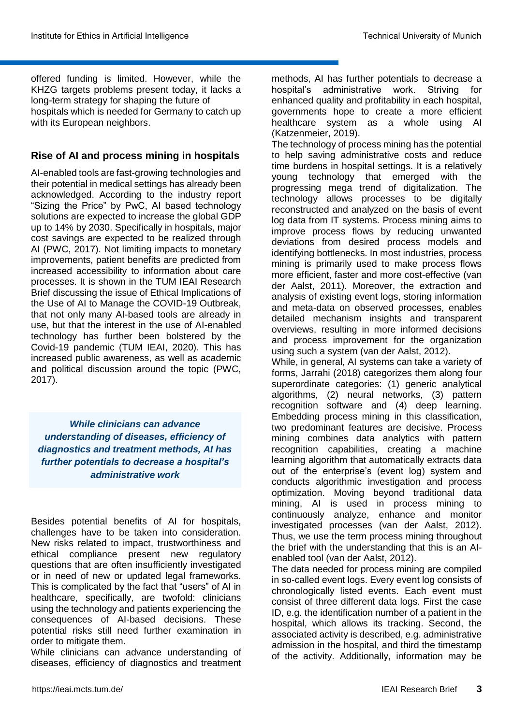offered funding is limited. However, while the KHZG targets problems present today, it lacks a long-term strategy for shaping the future of hospitals which is needed for Germany to catch up with its European neighbors.

# **Rise of AI and process mining in hospitals**

AI-enabled tools are fast-growing technologies and their potential in medical settings has already been acknowledged. According to the industry report "Sizing the Price" by PwC, AI based technology solutions are expected to increase the global GDP up to 14% by 2030. Specifically in hospitals, major cost savings are expected to be realized through AI (PWC, 2017). Not limiting impacts to monetary improvements, patient benefits are predicted from increased accessibility to information about care processes. It is shown in the TUM IEAI Research Brief discussing the issue of Ethical Implications of the Use of AI to Manage the COVID-19 Outbreak, that not only many AI-based tools are already in use, but that the interest in the use of AI-enabled technology has further been bolstered by the Covid-19 pandemic (TUM IEAI, 2020). This has increased public awareness, as well as academic and political discussion around the topic (PWC, 2017).

*While clinicians can advance understanding of diseases, efficiency of diagnostics and treatment methods, AI has further potentials to decrease a hospital's administrative work*

Besides potential benefits of AI for hospitals, challenges have to be taken into consideration. New risks related to impact, trustworthiness and ethical compliance present new regulatory questions that are often insufficiently investigated or in need of new or updated legal frameworks. This is complicated by the fact that "users" of AI in healthcare, specifically, are twofold: clinicians using the technology and patients experiencing the consequences of AI-based decisions. These potential risks still need further examination in order to mitigate them.

While clinicians can advance understanding of diseases, efficiency of diagnostics and treatment methods, AI has further potentials to decrease a hospital's administrative work. Striving for enhanced quality and profitability in each hospital, governments hope to create a more efficient healthcare system as a whole using AI (Katzenmeier, 2019).

The technology of process mining has the potential to help saving administrative costs and reduce time burdens in hospital settings. It is a relatively young technology that emerged with the progressing mega trend of digitalization. The technology allows processes to be digitally reconstructed and analyzed on the basis of event log data from IT systems. Process mining aims to improve process flows by reducing unwanted deviations from desired process models and identifying bottlenecks. In most industries, process mining is primarily used to make process flows more efficient, faster and more cost-effective (van der Aalst, 2011). Moreover, the extraction and analysis of existing event logs, storing information and meta-data on observed processes, enables detailed mechanism insights and transparent overviews, resulting in more informed decisions and process improvement for the organization using such a system (van der Aalst, 2012).

While, in general, AI systems can take a variety of forms, Jarrahi (2018) categorizes them along four superordinate categories: (1) generic analytical algorithms, (2) neural networks, (3) pattern recognition software and (4) deep learning. Embedding process mining in this classification, two predominant features are decisive. Process mining combines data analytics with pattern recognition capabilities, creating a machine learning algorithm that automatically extracts data out of the enterprise's (event log) system and conducts algorithmic investigation and process optimization. Moving beyond traditional data mining, AI is used in process mining to continuously analyze, enhance and monitor investigated processes (van der Aalst, 2012). Thus, we use the term process mining throughout the brief with the understanding that this is an AIenabled tool (van der Aalst, 2012).

The data needed for process mining are compiled in so-called event logs. Every event log consists of chronologically listed events. Each event must consist of three different data logs. First the case ID, e.g. the identification number of a patient in the hospital, which allows its tracking. Second, the associated activity is described, e.g. administrative admission in the hospital, and third the timestamp of the activity. Additionally, information may be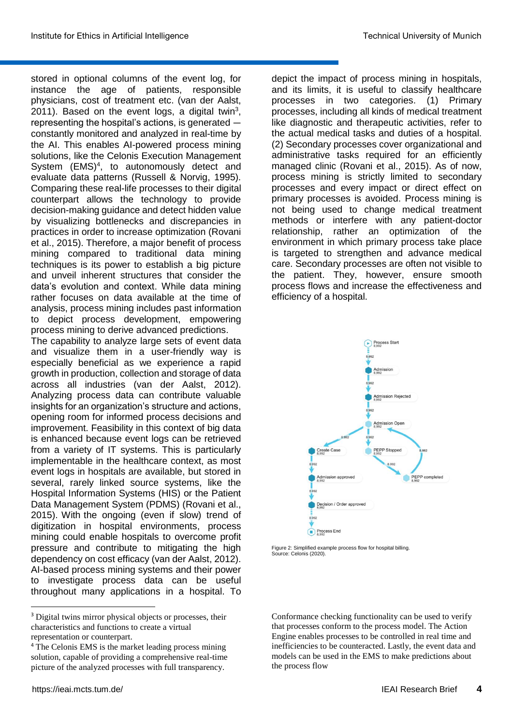stored in optional columns of the event log, for instance the age of patients, responsible physicians, cost of treatment etc. (van der Aalst, 2011). Based on the event logs, a digital twin $3$ , representing the hospital's actions, is generated constantly monitored and analyzed in real-time by the AI. This enables AI-powered process mining solutions, like the Celonis Execution Management System (EMS)<sup>4</sup>, to autonomously detect and evaluate data patterns (Russell & Norvig, 1995). Comparing these real-life processes to their digital counterpart allows the technology to provide decision-making guidance and detect hidden value by visualizing bottlenecks and discrepancies in practices in order to increase optimization (Rovani et al., 2015). Therefore, a major benefit of process mining compared to traditional data mining techniques is its power to establish a big picture and unveil inherent structures that consider the data's evolution and context. While data mining rather focuses on data available at the time of analysis, process mining includes past information to depict process development, empowering process mining to derive advanced predictions.

The capability to analyze large sets of event data and visualize them in a user-friendly way is especially beneficial as we experience a rapid growth in production, collection and storage of data across all industries (van der Aalst, 2012). Analyzing process data can contribute valuable insights for an organization's structure and actions, opening room for informed process decisions and improvement. Feasibility in this context of big data is enhanced because event logs can be retrieved from a variety of IT systems. This is particularly implementable in the healthcare context, as most event logs in hospitals are available, but stored in several, rarely linked source systems, like the Hospital Information Systems (HIS) or the Patient Data Management System (PDMS) (Rovani et al., 2015). With the ongoing (even if slow) trend of digitization in hospital environments, process mining could enable hospitals to overcome profit pressure and contribute to mitigating the high dependency on cost efficacy (van der Aalst, 2012). AI-based process mining systems and their power to investigate process data can be useful throughout many applications in a hospital. To

**.** 

depict the impact of process mining in hospitals, and its limits, it is useful to classify healthcare processes in two categories. (1) Primary processes, including all kinds of medical treatment like diagnostic and therapeutic activities, refer to the actual medical tasks and duties of a hospital. (2) Secondary processes cover organizational and administrative tasks required for an efficiently managed clinic (Rovani et al., 2015). As of now, process mining is strictly limited to secondary processes and every impact or direct effect on primary processes is avoided. Process mining is not being used to change medical treatment methods or interfere with any patient-doctor relationship, rather an optimization of the environment in which primary process take place is targeted to strengthen and advance medical care. Secondary processes are often not visible to the patient. They, however, ensure smooth process flows and increase the effectiveness and efficiency of a hospital.



Figure 2: Simplified example process flow for hospital billing. Source: Celonis (2020).

Conformance checking functionality can be used to verify that processes conform to the process model. The Action Engine enables processes to be controlled in real time and inefficiencies to be counteracted. Lastly, the event data and models can be used in the EMS to make predictions about the process flow

<sup>&</sup>lt;sup>3</sup> Digital twins mirror physical objects or processes, their characteristics and functions to create a virtual representation or counterpart.

<sup>&</sup>lt;sup>4</sup> The Celonis EMS is the market leading process mining solution, capable of providing a comprehensive real-time picture of the analyzed processes with full transparency.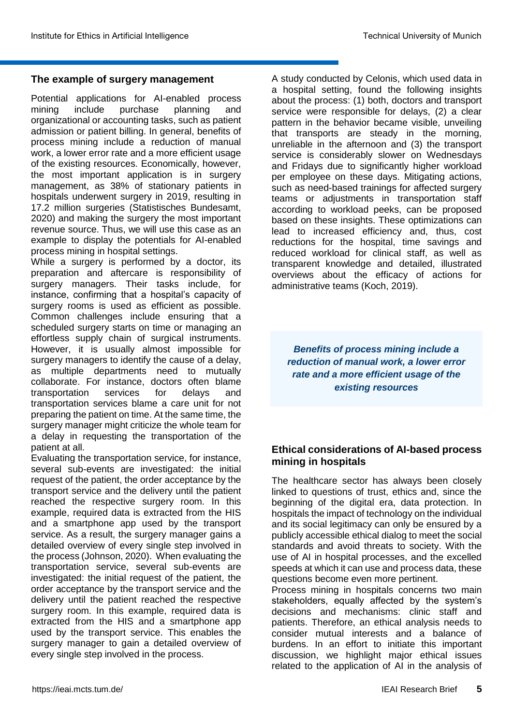# **The example of surgery management**

Potential applications for AI-enabled process mining include purchase planning and organizational or accounting tasks, such as patient admission or patient billing. In general, benefits of process mining include a reduction of manual work, a lower error rate and a more efficient usage of the existing resources. Economically, however, the most important application is in surgery management, as 38% of stationary patients in hospitals underwent surgery in 2019, resulting in 17.2 million surgeries (Statistisches Bundesamt, 2020) and making the surgery the most important revenue source. Thus, we will use this case as an example to display the potentials for AI-enabled process mining in hospital settings.

While a surgery is performed by a doctor, its preparation and aftercare is responsibility of surgery managers. Their tasks include, for instance, confirming that a hospital's capacity of surgery rooms is used as efficient as possible. Common challenges include ensuring that a scheduled surgery starts on time or managing an effortless supply chain of surgical instruments. However, it is usually almost impossible for surgery managers to identify the cause of a delay, as multiple departments need to mutually collaborate. For instance, doctors often blame transportation services for delays and transportation services blame a care unit for not preparing the patient on time. At the same time, the surgery manager might criticize the whole team for a delay in requesting the transportation of the patient at all.

Evaluating the transportation service, for instance, several sub-events are investigated: the initial request of the patient, the order acceptance by the transport service and the delivery until the patient reached the respective surgery room. In this example, required data is extracted from the HIS and a smartphone app used by the transport service. As a result, the surgery manager gains a detailed overview of every single step involved in the process (Johnson, 2020). When evaluating the transportation service, several sub-events are investigated: the initial request of the patient, the order acceptance by the transport service and the delivery until the patient reached the respective surgery room. In this example, required data is extracted from the HIS and a smartphone app used by the transport service. This enables the surgery manager to gain a detailed overview of every single step involved in the process.

A study conducted by Celonis, which used data in a hospital setting, found the following insights about the process: (1) both, doctors and transport service were responsible for delays, (2) a clear pattern in the behavior became visible, unveiling that transports are steady in the morning, unreliable in the afternoon and (3) the transport service is considerably slower on Wednesdays and Fridays due to significantly higher workload per employee on these days. Mitigating actions, such as need-based trainings for affected surgery teams or adjustments in transportation staff according to workload peeks, can be proposed based on these insights. These optimizations can lead to increased efficiency and, thus, cost reductions for the hospital, time savings and reduced workload for clinical staff, as well as transparent knowledge and detailed, illustrated overviews about the efficacy of actions for administrative teams (Koch, 2019).

*Benefits of process mining include a reduction of manual work, a lower error rate and a more efficient usage of the existing resources*

# **Ethical considerations of AI-based process mining in hospitals**

The healthcare sector has always been closely linked to questions of trust, ethics and, since the beginning of the digital era, data protection. In hospitals the impact of technology on the individual and its social legitimacy can only be ensured by a publicly accessible ethical dialog to meet the social standards and avoid threats to society. With the use of AI in hospital processes, and the excelled speeds at which it can use and process data, these questions become even more pertinent.

Process mining in hospitals concerns two main stakeholders, equally affected by the system's decisions and mechanisms: clinic staff and patients. Therefore, an ethical analysis needs to consider mutual interests and a balance of burdens. In an effort to initiate this important discussion, we highlight major ethical issues related to the application of AI in the analysis of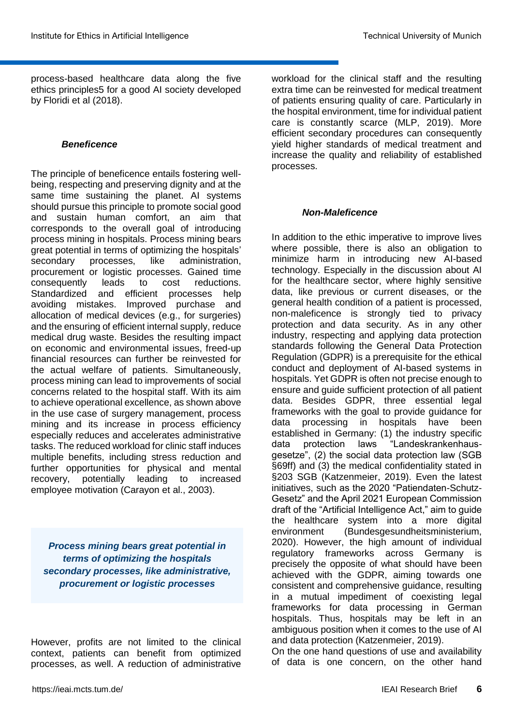process-based healthcare data along the five ethics principles5 for a good AI society developed by Floridi et al (2018).

#### *Beneficence*

The principle of beneficence entails fostering wellbeing, respecting and preserving dignity and at the same time sustaining the planet. AI systems should pursue this principle to promote social good and sustain human comfort, an aim that corresponds to the overall goal of introducing process mining in hospitals. Process mining bears great potential in terms of optimizing the hospitals' secondary processes, like administration, procurement or logistic processes. Gained time consequently leads to cost reductions. Standardized and efficient processes help avoiding mistakes. Improved purchase and allocation of medical devices (e.g., for surgeries) and the ensuring of efficient internal supply, reduce medical drug waste. Besides the resulting impact on economic and environmental issues, freed-up financial resources can further be reinvested for the actual welfare of patients. Simultaneously, process mining can lead to improvements of social concerns related to the hospital staff. With its aim to achieve operational excellence, as shown above in the use case of surgery management, process mining and its increase in process efficiency especially reduces and accelerates administrative tasks. The reduced workload for clinic staff induces multiple benefits, including stress reduction and further opportunities for physical and mental recovery, potentially leading to increased employee motivation (Carayon et al., 2003).

*Process mining bears great potential in terms of optimizing the hospitals secondary processes, like administrative, procurement or logistic processes*

However, profits are not limited to the clinical context, patients can benefit from optimized processes, as well. A reduction of administrative

workload for the clinical staff and the resulting extra time can be reinvested for medical treatment of patients ensuring quality of care. Particularly in the hospital environment, time for individual patient care is constantly scarce (MLP, 2019). More efficient secondary procedures can consequently yield higher standards of medical treatment and increase the quality and reliability of established processes.

#### *Non-Maleficence*

In addition to the ethic imperative to improve lives where possible, there is also an obligation to minimize harm in introducing new AI-based technology. Especially in the discussion about AI for the healthcare sector, where highly sensitive data, like previous or current diseases, or the general health condition of a patient is processed, non-maleficence is strongly tied to privacy protection and data security. As in any other industry, respecting and applying data protection standards following the General Data Protection Regulation (GDPR) is a prerequisite for the ethical conduct and deployment of AI-based systems in hospitals. Yet GDPR is often not precise enough to ensure and guide sufficient protection of all patient data. Besides GDPR, three essential legal frameworks with the goal to provide guidance for data processing in hospitals have been established in Germany: (1) the industry specific data protection laws "Landeskrankenhausgesetze", (2) the social data protection law (SGB §69ff) and (3) the medical confidentiality stated in §203 SGB (Katzenmeier, 2019). Even the latest initiatives, such as the 2020 "Patiendaten-Schutz-Gesetz" and the April 2021 European Commission draft of the "Artificial Intelligence Act," aim to guide the healthcare system into a more digital environment (Bundesgesundheitsministerium, 2020). However, the high amount of individual regulatory frameworks across Germany is precisely the opposite of what should have been achieved with the GDPR, aiming towards one consistent and comprehensive guidance, resulting in a mutual impediment of coexisting legal frameworks for data processing in German hospitals. Thus, hospitals may be left in an ambiguous position when it comes to the use of AI and data protection (Katzenmeier, 2019).

On the one hand questions of use and availability of data is one concern, on the other hand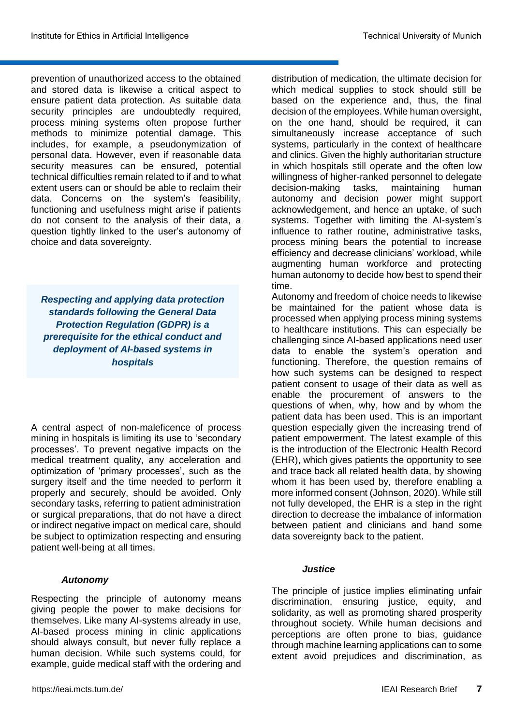prevention of unauthorized access to the obtained and stored data is likewise a critical aspect to ensure patient data protection. As suitable data security principles are undoubtedly required, process mining systems often propose further methods to minimize potential damage. This includes, for example, a pseudonymization of personal data. However, even if reasonable data security measures can be ensured, potential technical difficulties remain related to if and to what extent users can or should be able to reclaim their data. Concerns on the system's feasibility, functioning and usefulness might arise if patients do not consent to the analysis of their data, a question tightly linked to the user's autonomy of choice and data sovereignty.

*Respecting and applying data protection standards following the General Data Protection Regulation (GDPR) is a prerequisite for the ethical conduct and deployment of AI-based systems in hospitals*

A central aspect of non-maleficence of process mining in hospitals is limiting its use to 'secondary processes'. To prevent negative impacts on the medical treatment quality, any acceleration and optimization of 'primary processes', such as the surgery itself and the time needed to perform it properly and securely, should be avoided. Only secondary tasks, referring to patient administration or surgical preparations, that do not have a direct or indirect negative impact on medical care, should be subject to optimization respecting and ensuring patient well-being at all times.

#### *Autonomy*

Respecting the principle of autonomy means giving people the power to make decisions for themselves. Like many AI-systems already in use, AI-based process mining in clinic applications should always consult, but never fully replace a human decision. While such systems could, for example, guide medical staff with the ordering and distribution of medication, the ultimate decision for which medical supplies to stock should still be based on the experience and, thus, the final decision of the employees. While human oversight, on the one hand, should be required, it can simultaneously increase acceptance of such systems, particularly in the context of healthcare and clinics. Given the highly authoritarian structure in which hospitals still operate and the often low willingness of higher-ranked personnel to delegate decision-making tasks, maintaining human autonomy and decision power might support acknowledgement, and hence an uptake, of such systems. Together with limiting the AI-system's influence to rather routine, administrative tasks, process mining bears the potential to increase efficiency and decrease clinicians' workload, while augmenting human workforce and protecting human autonomy to decide how best to spend their time.

Autonomy and freedom of choice needs to likewise be maintained for the patient whose data is processed when applying process mining systems to healthcare institutions. This can especially be challenging since AI-based applications need user data to enable the system's operation and functioning. Therefore, the question remains of how such systems can be designed to respect patient consent to usage of their data as well as enable the procurement of answers to the questions of when, why, how and by whom the patient data has been used. This is an important question especially given the increasing trend of patient empowerment. The latest example of this is the introduction of the Electronic Health Record (EHR), which gives patients the opportunity to see and trace back all related health data, by showing whom it has been used by, therefore enabling a more informed consent (Johnson, 2020). While still not fully developed, the EHR is a step in the right direction to decrease the imbalance of information between patient and clinicians and hand some data sovereignty back to the patient.

#### *Justice*

The principle of justice implies eliminating unfair discrimination, ensuring justice, equity, and solidarity, as well as promoting shared prosperity throughout society. While human decisions and perceptions are often prone to bias, guidance through machine learning applications can to some extent avoid prejudices and discrimination, as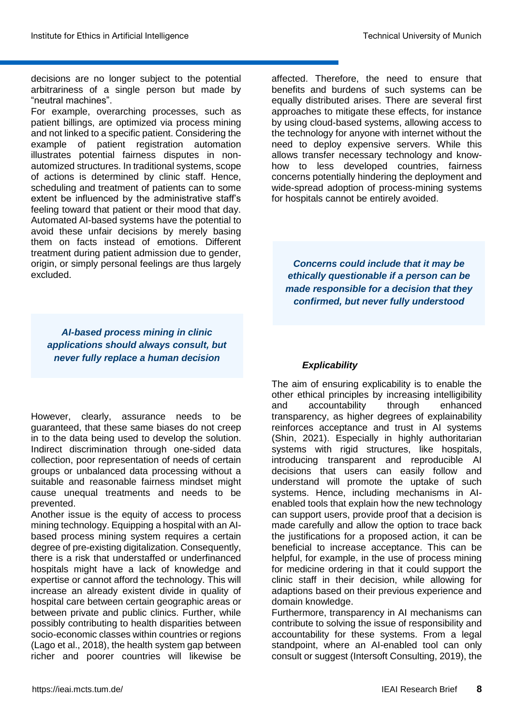decisions are no longer subject to the potential arbitrariness of a single person but made by "neutral machines".

For example, overarching processes, such as patient billings, are optimized via process mining and not linked to a specific patient. Considering the example of patient registration automation illustrates potential fairness disputes in nonautomized structures. In traditional systems, scope of actions is determined by clinic staff. Hence, scheduling and treatment of patients can to some extent be influenced by the administrative staff's feeling toward that patient or their mood that day. Automated AI-based systems have the potential to avoid these unfair decisions by merely basing them on facts instead of emotions. Different treatment during patient admission due to gender, origin, or simply personal feelings are thus largely excluded.

*AI-based process mining in clinic applications should always consult, but never fully replace a human decision*

However, clearly, assurance needs to be guaranteed, that these same biases do not creep in to the data being used to develop the solution. Indirect discrimination through one-sided data collection, poor representation of needs of certain groups or unbalanced data processing without a suitable and reasonable fairness mindset might cause unequal treatments and needs to be prevented.

Another issue is the equity of access to process mining technology. Equipping a hospital with an AIbased process mining system requires a certain degree of pre-existing digitalization. Consequently, there is a risk that understaffed or underfinanced hospitals might have a lack of knowledge and expertise or cannot afford the technology. This will increase an already existent divide in quality of hospital care between certain geographic areas or between private and public clinics. Further, while possibly contributing to health disparities between socio-economic classes within countries or regions (Lago et al., 2018), the health system gap between richer and poorer countries will likewise be affected. Therefore, the need to ensure that benefits and burdens of such systems can be equally distributed arises. There are several first approaches to mitigate these effects, for instance by using cloud-based systems, allowing access to the technology for anyone with internet without the need to deploy expensive servers. While this allows transfer necessary technology and knowhow to less developed countries, fairness concerns potentially hindering the deployment and wide-spread adoption of process-mining systems for hospitals cannot be entirely avoided.

*Concerns could include that it may be ethically questionable if a person can be made responsible for a decision that they confirmed, but never fully understood*

#### *Explicability*

The aim of ensuring explicability is to enable the other ethical principles by increasing intelligibility and accountability through enhanced transparency, as higher degrees of explainability reinforces acceptance and trust in AI systems (Shin, 2021). Especially in highly authoritarian systems with rigid structures, like hospitals, introducing transparent and reproducible AI decisions that users can easily follow and understand will promote the uptake of such systems. Hence, including mechanisms in AIenabled tools that explain how the new technology can support users, provide proof that a decision is made carefully and allow the option to trace back the justifications for a proposed action, it can be beneficial to increase acceptance. This can be helpful, for example, in the use of process mining for medicine ordering in that it could support the clinic staff in their decision, while allowing for adaptions based on their previous experience and domain knowledge.

Furthermore, transparency in AI mechanisms can contribute to solving the issue of responsibility and accountability for these systems. From a legal standpoint, where an AI-enabled tool can only consult or suggest (Intersoft Consulting, 2019), the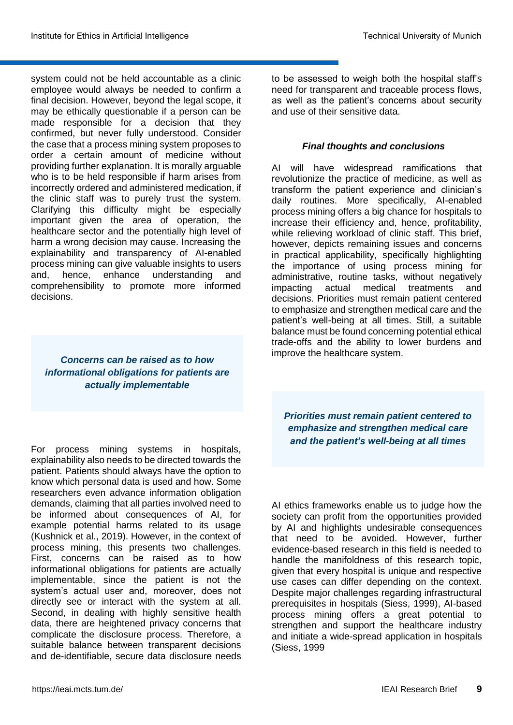system could not be held accountable as a clinic employee would always be needed to confirm a final decision. However, beyond the legal scope, it may be ethically questionable if a person can be made responsible for a decision that they confirmed, but never fully understood. Consider the case that a process mining system proposes to order a certain amount of medicine without providing further explanation. It is morally arguable who is to be held responsible if harm arises from incorrectly ordered and administered medication, if the clinic staff was to purely trust the system. Clarifying this difficulty might be especially important given the area of operation, the healthcare sector and the potentially high level of harm a wrong decision may cause. Increasing the explainability and transparency of AI-enabled process mining can give valuable insights to users and, hence, enhance understanding and comprehensibility to promote more informed decisions.

*Concerns can be raised as to how informational obligations for patients are actually implementable*

For process mining systems in hospitals, explainability also needs to be directed towards the patient. Patients should always have the option to know which personal data is used and how. Some researchers even advance information obligation demands, claiming that all parties involved need to be informed about consequences of AI, for example potential harms related to its usage (Kushnick et al., 2019). However, in the context of process mining, this presents two challenges. First, concerns can be raised as to how informational obligations for patients are actually implementable, since the patient is not the system's actual user and, moreover, does not directly see or interact with the system at all. Second, in dealing with highly sensitive health data, there are heightened privacy concerns that complicate the disclosure process. Therefore, a suitable balance between transparent decisions and de-identifiable, secure data disclosure needs to be assessed to weigh both the hospital staff's need for transparent and traceable process flows, as well as the patient's concerns about security and use of their sensitive data.

# *Final thoughts and conclusions*

AI will have widespread ramifications that revolutionize the practice of medicine, as well as transform the patient experience and clinician's daily routines. More specifically, AI-enabled process mining offers a big chance for hospitals to increase their efficiency and, hence, profitability, while relieving workload of clinic staff. This brief, however, depicts remaining issues and concerns in practical applicability, specifically highlighting the importance of using process mining for administrative, routine tasks, without negatively impacting actual medical treatments and decisions. Priorities must remain patient centered to emphasize and strengthen medical care and the patient's well-being at all times. Still, a suitable balance must be found concerning potential ethical trade-offs and the ability to lower burdens and improve the healthcare system.

*Priorities must remain patient centered to emphasize and strengthen medical care and the patient's well-being at all times*

AI ethics frameworks enable us to judge how the society can profit from the opportunities provided by AI and highlights undesirable consequences that need to be avoided. However, further evidence-based research in this field is needed to handle the manifoldness of this research topic, given that every hospital is unique and respective use cases can differ depending on the context. Despite major challenges regarding infrastructural prerequisites in hospitals (Siess, 1999), AI-based process mining offers a great potential to strengthen and support the healthcare industry and initiate a wide-spread application in hospitals (Siess, 1999